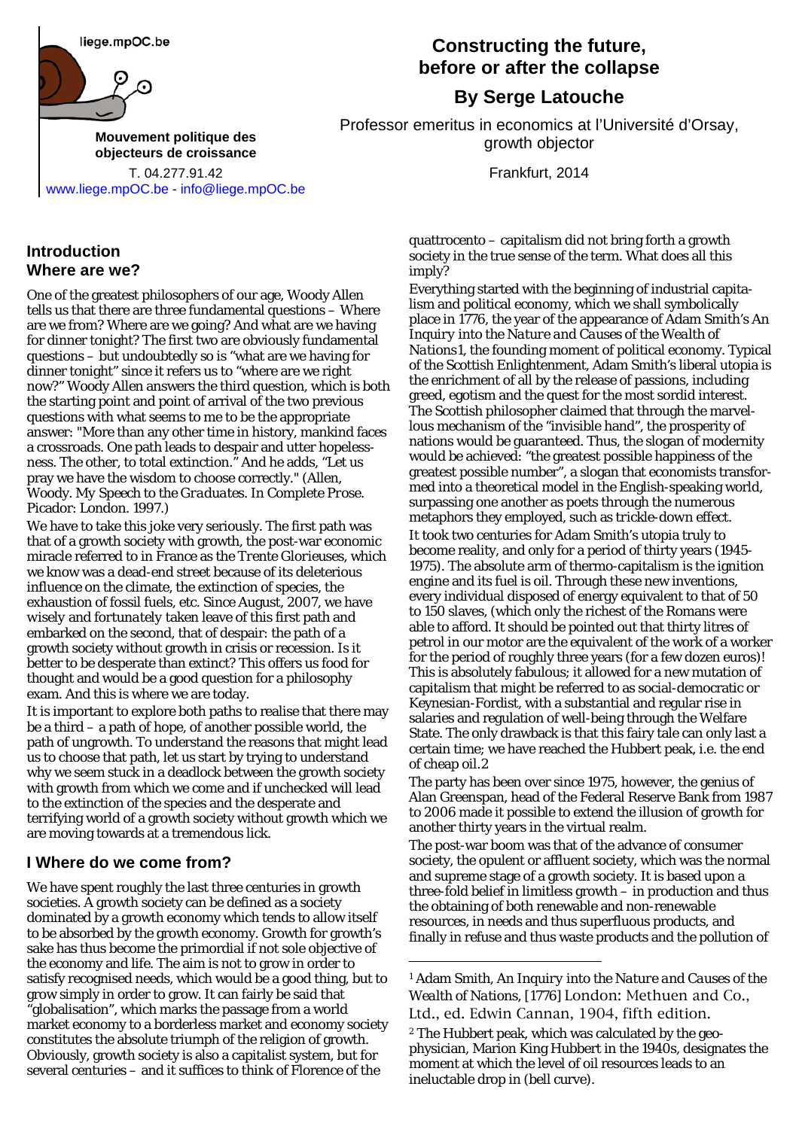liege.mpOC.be



**[Mouvement politique des](mailto:info@objecteursdecroissance.be) [objecteurs de croissance](mailto:info@objecteursdecroissance.be)**

T. 04.277.91.42 Frankfurt, 2014 [www.liege.mpOC.be](http://liege.mpoc.be/) - [info@liege.mpOC.be](mailto:info@liege.mpOC.be)

#### **Introduction Where are we?**

One of the greatest philosophers of our age, Woody Allen tells us that there are three fundamental questions – Where are we from? Where are we going? And what are we having for dinner tonight? The first two are obviously fundamental questions – but undoubtedly so is "what are we having for dinner tonight" since it refers us to "where are we right now?" Woody Allen answers the third question, which is both the starting point and point of arrival of the two previous questions with what seems to me to be the appropriate answer: "More than any other time in history, mankind faces a crossroads. One path leads to despair and utter hopelessness. The other, to total extinction." And he adds, "Let us pray we have the wisdom to choose correctly." (Allen, Woody. *My Speech to the Graduates*. In *Complete Prose*. Picador: London. 1997.)

We have to take this joke very seriously. The first path was that of a growth society with growth, the post-war economic miracle referred to in France as the *Trente Glorieuses*, which we know was a dead-end street because of its deleterious influence on the climate, the extinction of species, the exhaustion of fossil fuels, etc. Since August, 2007, we have *wisely* and *fortunately* taken leave of this first path and embarked on the second, that of despair: the path of a growth society without growth in crisis or recession. Is it better to be desperate than extinct? This offers us food for thought and would be a good question for a philosophy exam. And this is where we are today.

It is important to explore both paths to realise that there may be a third – a path of hope, of another possible world, the path of ungrowth. To understand the reasons that might lead us to choose that path, let us start by trying to understand why we seem stuck in a deadlock between the growth society with growth from which we come and if unchecked will lead to the extinction of the species and the desperate and terrifying world of a growth society without growth which we are moving towards at a tremendous lick.

### **I Where do we come from?**

<span id="page-0-1"></span><span id="page-0-0"></span>We have spent roughly the last three centuries in growth societies. A growth society can be defined as a society dominated by a growth economy which tends to allow itself to be absorbed by the growth economy. Growth for growth's sake has thus become the primordial if not sole objective of the economy and life. The aim is not to grow in order to satisfy recognised needs, which would be a good thing, but to grow simply in order to grow. It can fairly be said that "globalisation", which marks the passage from a world market economy to a borderless market and economy society constitutes the absolute triumph of the religion of growth. Obviously, growth society is also a capitalist system, but for several centuries – and it suffices to think of Florence of the

## **Constructing the future, before or after the collapse**

# **By Serge Latouche**

Professor emeritus in economics at l'Université d'Orsay, growth objector

quattrocento – capitalism did not bring forth a growth society in the true sense of the term. What does all this imply?

Everything started with the beginning of industrial capitalism and political economy, which we shall symbolically place in 1776, the year of the appearance of Adam Smith's *An Inquiry into the Nature and Causes of the Wealth of Nations*[1,](#page-0-0) the founding moment of political economy. Typical of the Scottish Enlightenment, Adam Smith's liberal utopia is the enrichment of all by the release of passions, including greed, egotism and the quest for the most sordid interest. The Scottish philosopher claimed that through the marvellous mechanism of the "invisible hand", the prosperity of nations would be guaranteed. Thus, the slogan of modernity would be achieved: "the greatest possible happiness of the greatest possible number", a slogan that economists transformed into a theoretical model in the English-speaking world, surpassing one another as poets through the numerous metaphors they employed, such as *trickle-down effect*. It took two centuries for Adam Smith's utopia truly to become reality, and only for a period of thirty years (1945- 1975). The absolute arm of thermo-capitalism is the ignition engine and its fuel is oil. Through these new inventions, every individual disposed of energy equivalent to that of 50 to 150 slaves, (which only the richest of the Romans were able to afford. It should be pointed out that thirty litres of petrol in our motor are the equivalent of the work of a worker for the period of roughly three years (for a few dozen euros)! This is absolutely fabulous; it allowed for a new mutation of capitalism that might be referred to as social-democratic or Keynesian-Fordist, with a substantial and regular rise in salaries and regulation of well-being through the Welfare State. The only drawback is that this fairy tale can only last a certain time; we have reached the Hubbert peak, i.e. the end of cheap oil[.2](#page-0-1)

The party has been over since 1975, however, the genius of Alan Greenspan, head of the Federal Reserve Bank from 1987 to 2006 made it possible to extend the illusion of growth for another thirty years in the virtual realm.

The post-war boom was that of the advance of consumer society, the opulent or affluent society, which was the normal and supreme stage of a growth society. It is based upon a three-fold belief in limitless growth – in production and thus the obtaining of both renewable and non-renewable resources, in needs and thus superfluous products, and finally in refuse and thus waste products and the pollution of

<sup>1</sup> Adam Smith, *An Inquiry into the Nature and Causes of the Wealth of Nations*, [1776] London: Methuen and Co., Ltd., ed. Edwin Cannan, 1904, fifth edition.

-

<sup>2</sup> The Hubbert peak, which was calculated by the geophysician, Marion King Hubbert in the 1940s, designates the moment at which the level of oil resources leads to an ineluctable drop in (bell curve).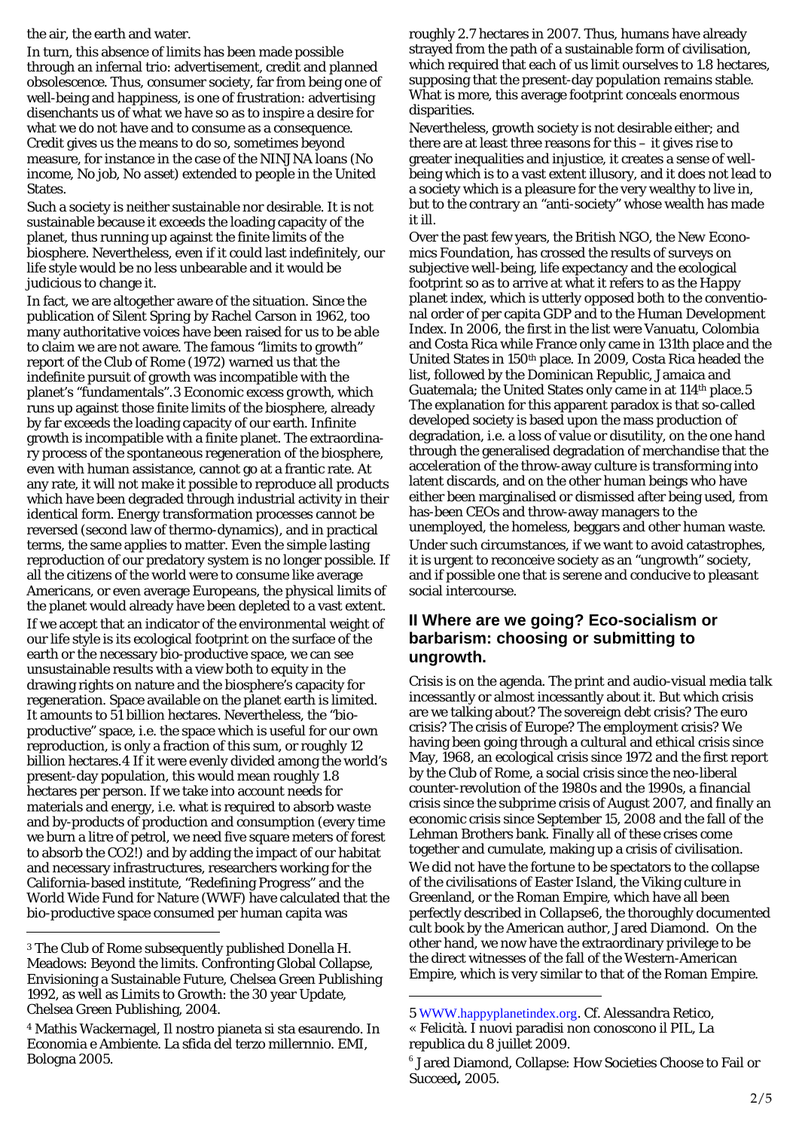the air, the earth and water.

In turn, this absence of limits has been made possible through an infernal trio: advertisement, credit and planned obsolescence. Thus, consumer society, far from being one of well-being and happiness, is one of frustration: advertising disenchants us of what we have so as to inspire a desire for what we do not have and to consume as a consequence. Credit gives us the means to do so, sometimes beyond measure, for instance in the case of the NINJNA loans (*No income*, *No job*, *No asset*) extended to people in the United States.

Such a society is neither sustainable nor desirable. It is not sustainable because it exceeds the loading capacity of the planet, thus running up against the finite limits of the biosphere. Nevertheless, even if it could last indefinitely, our life style would be no less unbearable and it would be judicious to change it.

In fact, we are altogether aware of the situation. Since the publication of *Silent Spring* by Rachel Carson in 1962, too many authoritative voices have been raised for us to be able to claim we are not aware. The famous "limits to growth" report of the Club of Rome (1972) warned us that the indefinite pursuit of growth was incompatible with the planet's "fundamentals".[3](#page-1-0) Economic *excess growth*, which runs up against those finite limits of the biosphere, already by far exceeds the loading capacity of our earth. Infinite growth is incompatible with a finite planet. The extraordinary process of the spontaneous regeneration of the biosphere, even with human assistance, cannot go at a frantic rate. At any rate, it will not make it possible to reproduce all products which have been degraded through industrial activity in their identical form. Energy transformation processes cannot be reversed (second law of thermo-dynamics), and in practical terms, the same applies to matter. Even the simple lasting reproduction of our predatory system is no longer possible. If all the citizens of the world were to consume like average Americans, or even average Europeans, the physical limits of the planet would already have been depleted to a vast extent. If we accept that an indicator of the environmental weight of our life style is its ecological footprint on the surface of the earth or the necessary bio-productive space, we can see unsustainable results with a view both to equity in the drawing rights on nature and the biosphere's capacity for regeneration. Space available on the planet earth is limited. It amounts to 51 billion hectares. Nevertheless, the "bioproductive" space, i.e. the space which is useful for our own reproduction, is only a fraction of this sum, or roughly 12 billion hectares.[4](#page-1-1) If it were evenly divided among the world's present-day population, this would mean roughly 1.8 hectares per person. If we take into account needs for materials and energy, i.e. what is required to absorb waste and by-products of production and consumption (every time we burn a litre of petrol, we need five square meters of forest to absorb the CO2!) and by adding the impact of our habitat and necessary infrastructures, researchers working for the California-based institute, "Redefining Progress" and the World Wide Fund for Nature (WWF) have calculated that the bio-productive space consumed per human capita was

-

roughly 2.7 hectares in 2007. Thus, humans have already strayed from the path of a sustainable form of civilisation, which required that each of us limit ourselves to 1.8 hectares, supposing that the present-day population remains stable. What is more, this average footprint conceals enormous disparities.

Nevertheless, growth society is not desirable either; and there are at least three reasons for this – it gives rise to greater inequalities and injustice, it creates a sense of wellbeing which is to a vast extent illusory, and it does not lead to a society which is a pleasure for the very wealthy to live in, but to the contrary an "anti-society" whose wealth has made it ill.

Over the past few years, the British NGO, the *New Economics Foundation*, has crossed the results of surveys on subjective well-being, life expectancy and the ecological footprint so as to arrive at what it refers to as the *Happy planet index*, which is utterly opposed both to the conventional order of per capita GDP and to the Human Development Index. In 2006, the first in the list were Vanuatu, Colombia and Costa Rica while France only came in 131th place and the United States in 150th place. In 2009, Costa Rica headed the list, followed by the Dominican Republic, Jamaica and Guatemala; the United States only came in at 114<sup>th</sup> place.[5](#page-1-2) The explanation for this apparent paradox is that so-called developed society is based upon the mass production of degradation, i.e. a loss of value or disutility, on the one hand through the generalised degradation of merchandise that the acceleration of the throw-away culture is transforming into latent discards, and on the other human beings who have either been marginalised or dismissed after being used, from has-been CEOs and throw-away managers to the unemployed, the homeless, beggars and other human waste. Under such circumstances, if we want to avoid catastrophes, it is urgent to reconceive society as an "ungrowth" society, and if possible one that is serene and conducive to pleasant social intercourse.

### **II Where are we going? Eco-socialism or barbarism: choosing or submitting to ungrowth.**

Crisis is on the agenda. The print and audio-visual media talk incessantly or almost incessantly about it. But which crisis are we talking about? The sovereign debt crisis? The euro crisis? The crisis of Europe? The employment crisis? We having been going through a cultural and ethical crisis since May, 1968, an ecological crisis since 1972 and the first report by the Club of Rome, a social crisis since the neo-liberal counter-revolution of the 1980s and the 1990s, a financial crisis since the subprime crisis of August 2007, and finally an economic crisis since September 15, 2008 and the fall of the Lehman Brothers bank. Finally all of these crises come together and cumulate, making up a crisis of civilisation. We did not have the fortune to be spectators to the collapse of the civilisations of Easter Island, the Viking culture in Greenland, or the Roman Empire, which have all been perfectly described in *Collapse*[6](#page-1-3), the thoroughly documented cult book by the American author, Jared Diamond. On the other hand, we now have the extraordinary privilege to be the direct witnesses of the fall of the Western-American Empire, which is very similar to that of the Roman Empire.

-

<span id="page-1-0"></span><sup>3</sup> The Club of Rome subsequently published Donella H. Meadows: Beyond the limits. Confronting Global Collapse, Envisioning a Sustainable Future, Chelsea Green Publishing 1992, as well as Limits to Growth: the 30 year Update, Chelsea Green Publishing, 2004.

<span id="page-1-3"></span><span id="page-1-2"></span><span id="page-1-1"></span><sup>4</sup> Mathis Wackernagel, Il nostro pianeta si sta esaurendo. In Economia e Ambiente. La sfida del terzo millernnio. EMI, Bologna 2005.

<sup>5</sup> [WWW.happyplanetindex.org](http://www.happyplanetindex.org/). Cf. Alessandra Retico, « Felicità. I nuovi paradisi non conoscono il PIL, La republica du 8 juillet 2009.

<sup>6</sup> Jared Diamond, Collapse: How Societies Choose to Fail or Succeed*,* 2005.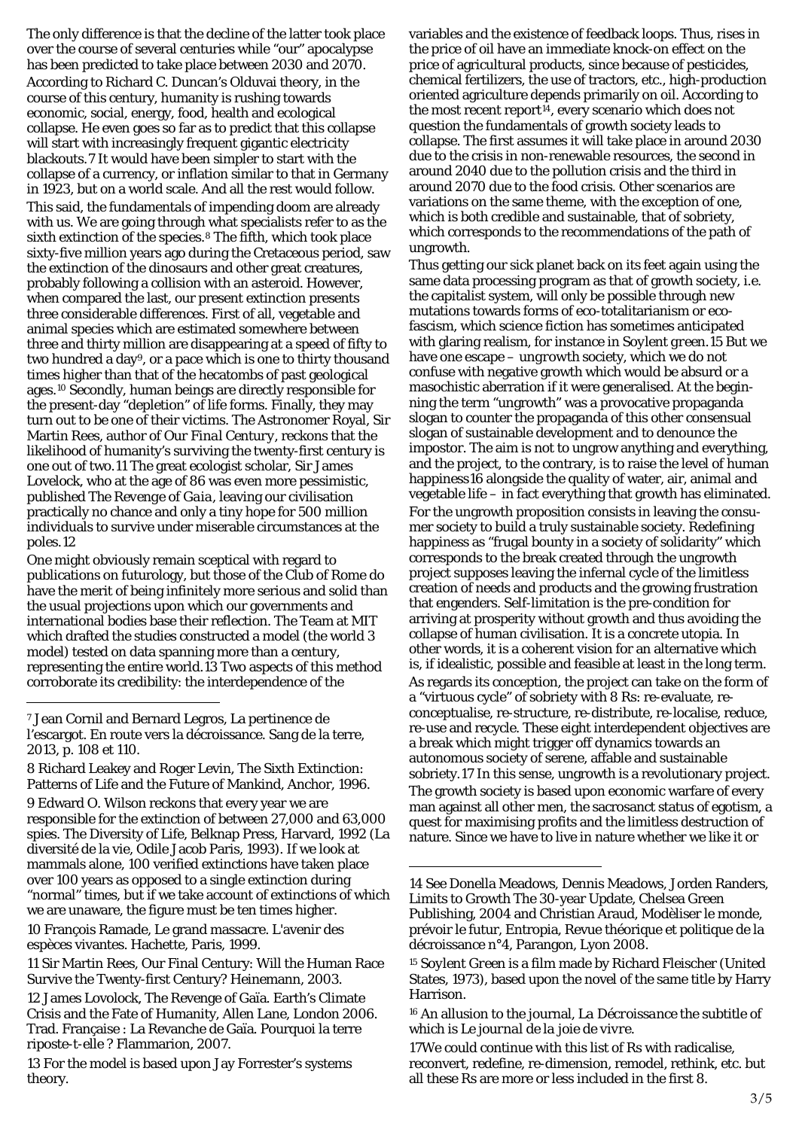The only difference is that the decline of the latter took place over the course of several centuries while "our" apocalypse has been predicted to take place between 2030 and 2070. According to Richard C. Duncan's Olduvai theory, in the course of this century, humanity is rushing towards economic, social, energy, food, health and ecological collapse. He even goes so far as to predict that this collapse will start with increasingly frequent gigantic electricity blackouts.[7](#page-2-0) It would have been simpler to start with the collapse of a currency, or inflation similar to that in Germany in 1923, but on a world scale. And all the rest would follow. This said, the fundamentals of impending doom are already with us. We are going through what specialists refer to as the sixth extinction of the species.<sup>[8](#page-2-1)</sup> The fifth, which took place sixty-five million years ago during the Cretaceous period, saw the extinction of the dinosaurs and other great creatures, probably following a collision with an asteroid. However, when compared the last, our present extinction presents three considerable differences. First of all, vegetable and animal species which are estimated somewhere between three and thirty million are disappearing at a speed of fifty to two hundred a day[9](#page-2-2), or a pace which is one to thirty thousand times higher than that of the hecatombs of past geological ages.[10](#page-2-3) Secondly, human beings are directly responsible for the present-day "depletion" of life forms. Finally, they may turn out to be one of their victims. The Astronomer Royal, Sir Martin Rees, author of *Our Final Century*, reckons that the likelihood of humanity's surviving the twenty-first century is one out of two.[11](#page-2-4) The great ecologist scholar, Sir James Lovelock, who at the age of 86 was even more pessimistic, published *The Revenge of Gaia*, leaving our civilisation practically no chance and only a tiny hope for 500 million individuals to survive under miserable circumstances at the poles.[12](#page-2-5)

One might obviously remain sceptical with regard to publications on futurology, but those of the Club of Rome do have the merit of being infinitely more serious and solid than the usual projections upon which our governments and international bodies base their reflection. The Team at MIT which drafted the studies constructed a model (the world 3 model) tested on data spanning more than a century, representing the entire world.[13](#page-2-6) Two aspects of this method corroborate its credibility: the interdependence of the

1

<span id="page-2-7"></span><span id="page-2-3"></span>10 François Ramade, Le grand massacre. L'avenir des espèces vivantes. Hachette, Paris, 1999.

<span id="page-2-4"></span>11 Sir Martin Rees, Our Final Century: Will the Human Race Survive the Twenty-first Century? Heinemann, 2003.

<span id="page-2-9"></span><span id="page-2-6"></span>13 For the model is based upon Jay Forrester's systems theory.

variables and the existence of feedback loops. Thus, rises in the price of oil have an immediate knock-on effect on the price of agricultural products, since because of pesticides, chemical fertilizers, the use of tractors, etc., high-production oriented agriculture depends primarily on oil. According to the most recent report $14$ , every scenario which does not question the fundamentals of growth society leads to collapse. The first assumes it will take place in around 2030 due to the crisis in non-renewable resources, the second in around 2040 due to the pollution crisis and the third in around 2070 due to the food crisis. Other scenarios are variations on the same theme, with the exception of one, which is both credible and sustainable, that of sobriety, which corresponds to the recommendations of the path of ungrowth.

Thus getting our sick planet back on its feet again using the same data processing program as that of growth society, i.e. the capitalist system, will only be possible through new mutations towards forms of eco-totalitarianism or ecofascism, which science fiction has sometimes anticipated with glaring realism, for instance in *Soylent green.*[15](#page-2-4) But we have one escape – *ungrowth* society, which we do not confuse with negative growth which would be absurd or a masochistic aberration if it were generalised. At the beginning the term "ungrowth" was a provocative propaganda slogan to counter the propaganda of this other consensual slogan of sustainable development and to denounce the impostor. The aim is not to ungrow anything and everything, and the project, to the contrary, is to raise the level of human happiness[16](#page-2-8) alongside the quality of water, air, animal and vegetable life – in fact everything that growth has eliminated. For the ungrowth proposition consists in leaving the consumer society to build a truly sustainable society. Redefining happiness as "frugal bounty in a society of solidarity" which corresponds to the break created through the ungrowth project supposes leaving the infernal cycle of the limitless creation of needs and products and the growing frustration that engenders. Self-limitation is the pre-condition for arriving at prosperity without growth and thus avoiding the collapse of human civilisation. It is a concrete utopia. In other words, it is a coherent vision for an alternative which is, if idealistic, possible and feasible at least in the long term. As regards its conception, the project can take on the form of a "virtuous cycle" of sobriety with 8 Rs: re-evaluate, reconceptualise, re-structure, re-distribute, re-localise, reduce, re-use and recycle. These eight interdependent objectives are a break which might trigger off dynamics towards an autonomous society of serene, affable and sustainable sobriety.[17](#page-2-9) In this sense, ungrowth is a revolutionary project. The growth society is based upon economic warfare of every man against all other men, the sacrosanct status of egotism, a quest for maximising profits and the limitless destruction of nature. Since we have to live in nature whether we like it or

1

<span id="page-2-0"></span><sup>7</sup> Jean Cornil and Bernard Legros, La pertinence de l'escargot. En route vers la décroissance. Sang de la terre, 2013, p. 108 et 110.

<span id="page-2-2"></span><span id="page-2-1"></span><sup>8</sup> Richard Leakey and Roger Levin, The Sixth Extinction: Patterns of Life and the Future of Mankind, Anchor, 1996. 9 Edward O. Wilson reckons that every year we are responsible for the extinction of between 27,000 and 63,000 spies. The Diversity of Life, Belknap Press, Harvard, 1992 (La diversité de la vie, Odile Jacob Paris, 1993). If we look at mammals alone, 100 verified extinctions have taken place over 100 years as opposed to a single extinction during "normal" times, but if we take account of extinctions of which we are unaware, the figure must be ten times higher.

<span id="page-2-8"></span><span id="page-2-5"></span><sup>12</sup> James Lovolock, The Revenge of Gaïa. Earth's Climate Crisis and the Fate of Humanity, Allen Lane, London 2006. Trad. Française : La Revanche de Gaïa. Pourquoi la terre riposte-t-elle ? Flammarion, 2007.

<sup>14</sup> See Donella Meadows, Dennis Meadows, Jorden Randers, Limits to Growth The 30-year Update, Chelsea Green Publishing, 2004 and Christian Araud, Modèliser le monde, prévoir le futur, Entropia, Revue théorique et politique de la décroissance n°4, Parangon, Lyon 2008.

<sup>15</sup> *Soylent Green* is a film made by Richard Fleischer (United States, 1973), based upon the novel of the same title by Harry Harrison.

<sup>16</sup> An allusion to the journal, *La Décroissance* the subtitle of which is *Le journal de la joie de vivre*.

<sup>17</sup>We could continue with this list of Rs with radicalise, reconvert, redefine, re-dimension, remodel, rethink, etc. but all these Rs are more or less included in the first 8.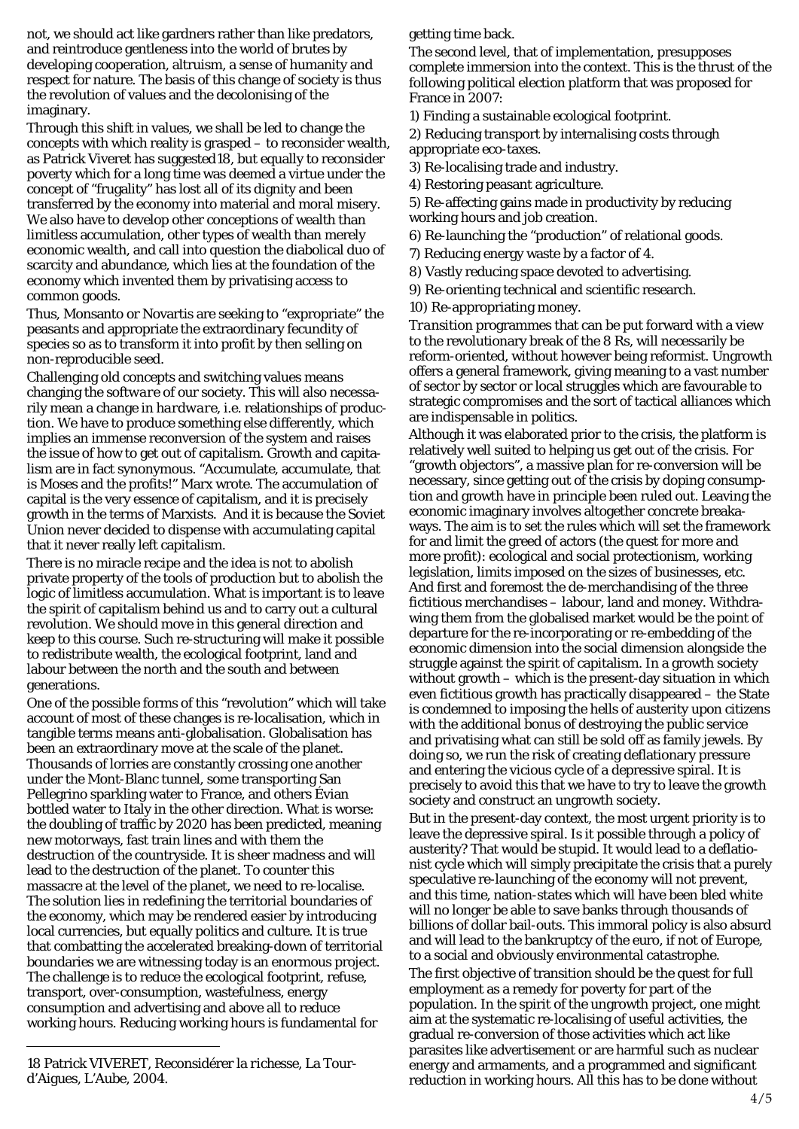not, we should act like gardners rather than like predators, and reintroduce gentleness into the world of brutes by developing cooperation, altruism, a sense of humanity and respect for nature. The basis of this change of society is thus the revolution of values and the decolonising of the imaginary.

Through this shift in values, we shall be led to change the concepts with which reality is grasped – to reconsider wealth, as Patrick Viveret has suggested[18,](#page-3-0) but equally to reconsider poverty which for a long time was deemed a virtue under the concept of "frugality" has lost all of its dignity and been transferred by the economy into material and moral misery. We also have to develop other conceptions of wealth than limitless accumulation, other types of wealth than merely economic wealth, and call into question the diabolical duo of scarcity and abundance, which lies at the foundation of the economy which invented them by privatising access to common goods.

Thus, Monsanto or Novartis are seeking to "expropriate" the peasants and appropriate the extraordinary fecundity of species so as to transform it into profit by then selling on non-reproducible seed.

Challenging old concepts and switching values means changing the *software* of our society. This will also necessarily mean a change in *hardware*, i.e. relationships of production. We have to produce something else differently, which implies an immense reconversion of the system and raises the issue of how to get out of capitalism. Growth and capitalism are in fact synonymous. "Accumulate, accumulate, that is Moses and the profits!" Marx wrote. The accumulation of capital is the very essence of capitalism, and it is precisely growth in the terms of Marxists. And it is because the Soviet Union never decided to dispense with accumulating capital that it never really left capitalism.

There is no miracle recipe and the idea is not to abolish private property of the tools of production but to abolish the logic of limitless accumulation. What is important is to leave the spirit of capitalism behind us and to carry out a cultural revolution. We should move in this general direction and keep to this course. Such re-structuring will make it possible to redistribute wealth, the ecological footprint, land and labour between the north and the south and between generations.

One of the possible forms of this "revolution" which will take account of most of these changes is re-localisation, which in tangible terms means anti-globalisation. Globalisation has been an extraordinary move at the scale of the planet. Thousands of lorries are constantly crossing one another under the Mont-Blanc tunnel, some transporting San Pellegrino sparkling water to France, and others Évian bottled water to Italy in the other direction. What is worse: the doubling of traffic by 2020 has been predicted, meaning new motorways, fast train lines and with them the destruction of the countryside. It is sheer madness and will lead to the destruction of the planet. To counter this massacre at the level of the planet, we need to re-localise. The solution lies in redefining the territorial boundaries of the economy, which may be rendered easier by introducing local currencies, but equally politics and culture. It is true that combatting the accelerated breaking-down of territorial boundaries we are witnessing today is an enormous project. The challenge is to reduce the ecological footprint, refuse, transport, over-consumption, wastefulness, energy consumption and advertising and above all to reduce working hours. Reducing working hours is fundamental for

<span id="page-3-0"></span>18 Patrick VIVERET, Reconsidérer la *richesse*, La Tourd'Aigues, L'Aube, 2004.

-

getting time back.

The second level, that of implementation, presupposes complete immersion into the context. This is the thrust of the following political election platform that was proposed for France in 2007:

1) Finding a sustainable ecological footprint.

2) Reducing transport by internalising costs through appropriate eco-taxes.

3) Re-localising trade and industry.

4) Restoring peasant agriculture.

5) Re-affecting gains made in productivity by reducing working hours and job creation.

6) Re-launching the "production" of relational goods.

7) Reducing energy waste by a factor of 4.

8) Vastly reducing space devoted to advertising.

9) Re-orienting technical and scientific research.

10) Re-appropriating money.

*Transition* programmes that can be put forward with a view to the revolutionary break of the 8 Rs, will necessarily be reform-oriented, without however being reformist. Ungrowth offers a general framework, giving meaning to a vast number of sector by sector or local struggles which are favourable to strategic compromises and the sort of tactical alliances which are indispensable in politics.

Although it was elaborated prior to the crisis, the platform is relatively well suited to helping us get out of the crisis. For "growth objectors", a massive plan for re-conversion will be necessary, since getting out of the crisis by doping consumption and growth have in principle been ruled out. Leaving the economic imaginary involves altogether concrete breakaways. The aim is to set the rules which will set the framework for and limit the greed of actors (the quest for more and more profit): ecological and social protectionism, working legislation, limits imposed on the sizes of businesses, etc. And first and foremost the de-merchandising of the three *fictitious* merchandises – labour, land and money. Withdrawing them from the globalised market would be the point of departure for the re-incorporating or re-embedding of the economic dimension into the social dimension alongside the struggle against the spirit of capitalism. In a growth society without growth – which is the present-day situation in which even fictitious growth has practically disappeared – the State is condemned to imposing the hells of austerity upon citizens with the additional bonus of destroying the public service and privatising what can still be sold off as family jewels. By doing so, we run the risk of creating deflationary pressure and entering the vicious cycle of a depressive spiral. It is precisely to avoid this that we have to try to leave the growth society and construct an ungrowth society.

But in the present-day context, the most urgent priority is to leave the depressive spiral. Is it possible through a policy of austerity? That would be stupid. It would lead to a deflationist cycle which will simply precipitate the crisis that a purely speculative re-launching of the economy will not prevent, and this time, nation-states which will have been bled white will no longer be able to save banks through thousands of billions of dollar bail-outs. This immoral policy is also absurd and will lead to the bankruptcy of the euro, if not of Europe, to a social and obviously environmental catastrophe.

The first objective of transition should be the quest for full employment as a remedy for poverty for part of the population. In the spirit of the ungrowth project, one might aim at the systematic re-localising of useful activities, the gradual re-conversion of those activities which act like parasites like advertisement or are harmful such as nuclear energy and armaments, and a programmed and significant reduction in working hours. All this has to be done without